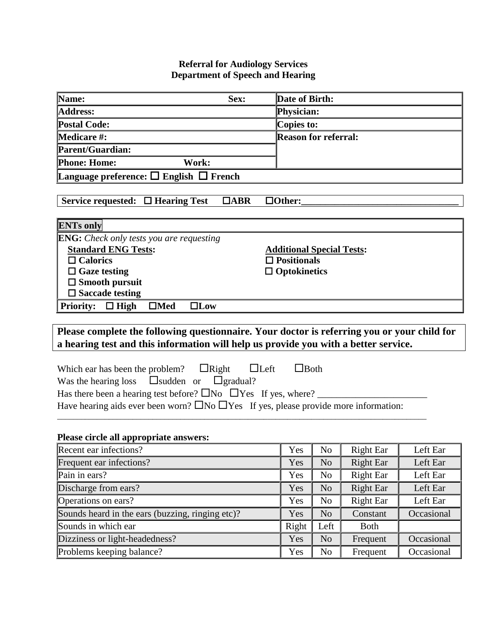## **Referral for Audiology Services Department of Speech and Hearing**

| Name:                                                                                                                                                                              | Sex:               | Date of Birth: |                             |                  |            |  |
|------------------------------------------------------------------------------------------------------------------------------------------------------------------------------------|--------------------|----------------|-----------------------------|------------------|------------|--|
| <b>Address:</b>                                                                                                                                                                    |                    | Physician:     |                             |                  |            |  |
| <b>Postal Code:</b>                                                                                                                                                                |                    | Copies to:     |                             |                  |            |  |
| <b>Medicare #:</b>                                                                                                                                                                 |                    |                | <b>Reason for referral:</b> |                  |            |  |
| Parent/Guardian:                                                                                                                                                                   |                    |                |                             |                  |            |  |
| <b>Phone: Home:</b><br>Work:                                                                                                                                                       |                    |                |                             |                  |            |  |
| Language preference: $\square$ English $\square$ French                                                                                                                            |                    |                |                             |                  |            |  |
|                                                                                                                                                                                    |                    |                |                             |                  |            |  |
| Service requested: $\Box$ Hearing Test                                                                                                                                             | $\Box$ ABR         | $\Box$ Other:  |                             |                  |            |  |
| <b>ENTs only</b>                                                                                                                                                                   |                    |                |                             |                  |            |  |
| <b>ENG:</b> Check only tests you are requesting                                                                                                                                    |                    |                |                             |                  |            |  |
| <b>Standard ENG Tests:</b><br><b>Additional Special Tests:</b>                                                                                                                     |                    |                |                             |                  |            |  |
| $\Box$ Calorics                                                                                                                                                                    | $\Box$ Positionals |                |                             |                  |            |  |
| $\Box$ Optokinetics<br>$\Box$ Gaze testing                                                                                                                                         |                    |                |                             |                  |            |  |
| $\Box$ Smooth pursuit<br>$\square$ Saccade testing                                                                                                                                 |                    |                |                             |                  |            |  |
| Priority: $\Box$ High<br>$\square$ Low<br>$\Box$ Med                                                                                                                               |                    |                |                             |                  |            |  |
|                                                                                                                                                                                    |                    |                |                             |                  |            |  |
| Please complete the following questionnaire. Your doctor is referring you or your child for<br>a hearing test and this information will help us provide you with a better service. |                    |                |                             |                  |            |  |
|                                                                                                                                                                                    |                    |                |                             |                  |            |  |
| $\Box$ Both<br>Which ear has been the problem? $\Box$ Right<br>$\Box$ Left                                                                                                         |                    |                |                             |                  |            |  |
| Was the hearing loss $\Box$ sudden or<br>$\Box$ gradual?                                                                                                                           |                    |                |                             |                  |            |  |
| Has there been a hearing test before? $\Box$ No $\Box$ Yes If yes, where?<br>Have hearing aids ever been worn? $\Box$ No $\Box$ Yes If yes, please provide more information:       |                    |                |                             |                  |            |  |
|                                                                                                                                                                                    |                    |                |                             |                  |            |  |
|                                                                                                                                                                                    |                    |                |                             |                  |            |  |
| Please circle all appropriate answers:                                                                                                                                             |                    |                |                             |                  |            |  |
| Recent ear infections?                                                                                                                                                             |                    | Yes            | No                          | <b>Right Ear</b> | Left Ear   |  |
| Frequent ear infections?                                                                                                                                                           |                    | Yes            | N <sub>o</sub>              | <b>Right Ear</b> | Left Ear   |  |
| Pain in ears?                                                                                                                                                                      |                    | Yes            | No                          | <b>Right Ear</b> | Left Ear   |  |
| Discharge from ears?                                                                                                                                                               |                    | Yes            | N <sub>o</sub>              | <b>Right Ear</b> | Left Ear   |  |
| Operations on ears?                                                                                                                                                                |                    | Yes            | No                          | <b>Right Ear</b> | Left Ear   |  |
| Sounds heard in the ears (buzzing, ringing etc)?                                                                                                                                   |                    | Yes            | N <sub>o</sub>              | Constant         | Occasional |  |
| Sounds in which ear                                                                                                                                                                |                    | Right          | Left                        | <b>Both</b>      |            |  |
| Dizziness or light-headedness?                                                                                                                                                     |                    | Yes            | N <sub>o</sub>              | Frequent         | Occasional |  |
| Problems keeping balance?                                                                                                                                                          |                    | Yes            | No                          | Frequent         | Occasional |  |